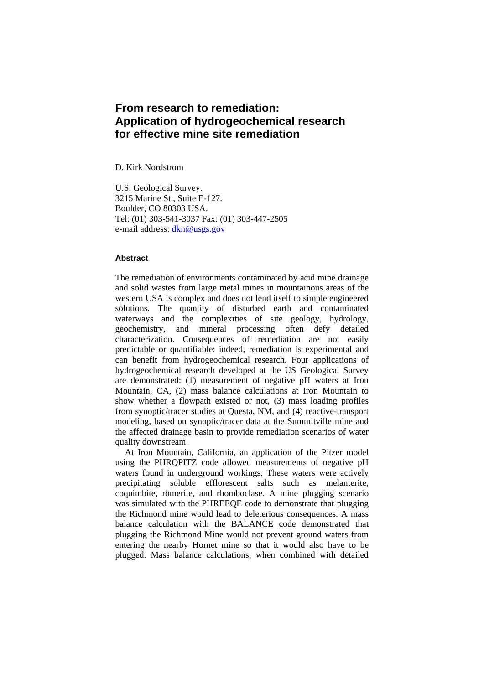# **From research to remediation: Application of hydrogeochemical research for effective mine site remediation**

D. Kirk Nordstrom

U.S. Geological Survey. 3215 Marine St., Suite E-127. Boulder, CO 80303 USA. Tel: (01) 303-541-3037 Fax: (01) 303-447-2505 e-mail address: dkn@usgs.gov

## **Abstract**

The remediation of environments contaminated by acid mine drainage and solid wastes from large metal mines in mountainous areas of the western USA is complex and does not lend itself to simple engineered solutions. The quantity of disturbed earth and contaminated waterways and the complexities of site geology, hydrology, geochemistry, and mineral processing often defy detailed characterization. Consequences of remediation are not easily predictable or quantifiable: indeed, remediation is experimental and can benefit from hydrogeochemical research. Four applications of hydrogeochemical research developed at the US Geological Survey are demonstrated: (1) measurement of negative pH waters at Iron Mountain, CA, (2) mass balance calculations at Iron Mountain to show whether a flowpath existed or not, (3) mass loading profiles from synoptic/tracer studies at Questa, NM, and (4) reactive-transport modeling, based on synoptic/tracer data at the Summitville mine and the affected drainage basin to provide remediation scenarios of water quality downstream.

 At Iron Mountain, California, an application of the Pitzer model using the PHRQPITZ code allowed measurements of negative pH waters found in underground workings. These waters were actively precipitating soluble efflorescent salts such as melanterite, coquimbite, römerite, and rhomboclase. A mine plugging scenario was simulated with the PHREEQE code to demonstrate that plugging the Richmond mine would lead to deleterious consequences. A mass balance calculation with the BALANCE code demonstrated that plugging the Richmond Mine would not prevent ground waters from entering the nearby Hornet mine so that it would also have to be plugged. Mass balance calculations, when combined with detailed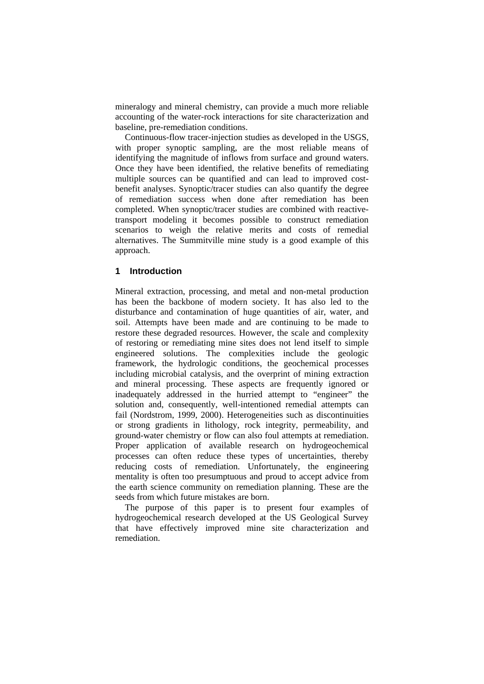mineralogy and mineral chemistry, can provide a much more reliable accounting of the water-rock interactions for site characterization and baseline, pre-remediation conditions.

 Continuous-flow tracer-injection studies as developed in the USGS, with proper synoptic sampling, are the most reliable means of identifying the magnitude of inflows from surface and ground waters. Once they have been identified, the relative benefits of remediating multiple sources can be quantified and can lead to improved costbenefit analyses. Synoptic/tracer studies can also quantify the degree of remediation success when done after remediation has been completed. When synoptic/tracer studies are combined with reactivetransport modeling it becomes possible to construct remediation scenarios to weigh the relative merits and costs of remedial alternatives. The Summitville mine study is a good example of this approach.

## **1 Introduction**

Mineral extraction, processing, and metal and non-metal production has been the backbone of modern society. It has also led to the disturbance and contamination of huge quantities of air, water, and soil. Attempts have been made and are continuing to be made to restore these degraded resources. However, the scale and complexity of restoring or remediating mine sites does not lend itself to simple engineered solutions. The complexities include the geologic framework, the hydrologic conditions, the geochemical processes including microbial catalysis, and the overprint of mining extraction and mineral processing. These aspects are frequently ignored or inadequately addressed in the hurried attempt to "engineer" the solution and, consequently, well-intentioned remedial attempts can fail (Nordstrom, 1999, 2000). Heterogeneities such as discontinuities or strong gradients in lithology, rock integrity, permeability, and ground-water chemistry or flow can also foul attempts at remediation. Proper application of available research on hydrogeochemical processes can often reduce these types of uncertainties, thereby reducing costs of remediation. Unfortunately, the engineering mentality is often too presumptuous and proud to accept advice from the earth science community on remediation planning. These are the seeds from which future mistakes are born.

 The purpose of this paper is to present four examples of hydrogeochemical research developed at the US Geological Survey that have effectively improved mine site characterization and remediation.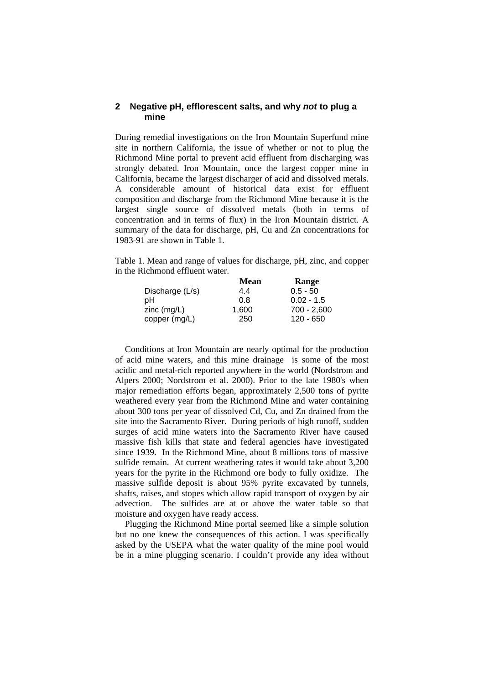## **2 Negative pH, efflorescent salts, and why** *not* **to plug a mine**

During remedial investigations on the Iron Mountain Superfund mine site in northern California, the issue of whether or not to plug the Richmond Mine portal to prevent acid effluent from discharging was strongly debated. Iron Mountain, once the largest copper mine in California, became the largest discharger of acid and dissolved metals. A considerable amount of historical data exist for effluent composition and discharge from the Richmond Mine because it is the largest single source of dissolved metals (both in terms of concentration and in terms of flux) in the Iron Mountain district. A summary of the data for discharge, pH, Cu and Zn concentrations for 1983-91 are shown in Table 1.

Table 1. Mean and range of values for discharge, pH, zinc, and copper in the Richmond effluent water.

|                   | <b>Mean</b> | Range         |
|-------------------|-------------|---------------|
| Discharge $(L/s)$ | 4.4         | $0.5 - 50$    |
| pН                | 0.8         | $0.02 - 1.5$  |
| $zinc$ (mg/L)     | 1,600       | $700 - 2,600$ |
| copper (mg/L)     | 250         | 120 - 650     |

 Conditions at Iron Mountain are nearly optimal for the production of acid mine waters, and this mine drainage is some of the most acidic and metal-rich reported anywhere in the world (Nordstrom and Alpers 2000; Nordstrom et al. 2000). Prior to the late 1980's when major remediation efforts began, approximately 2,500 tons of pyrite weathered every year from the Richmond Mine and water containing about 300 tons per year of dissolved Cd, Cu, and Zn drained from the site into the Sacramento River. During periods of high runoff, sudden surges of acid mine waters into the Sacramento River have caused massive fish kills that state and federal agencies have investigated since 1939. In the Richmond Mine, about 8 millions tons of massive sulfide remain. At current weathering rates it would take about 3,200 years for the pyrite in the Richmond ore body to fully oxidize. The massive sulfide deposit is about 95% pyrite excavated by tunnels, shafts, raises, and stopes which allow rapid transport of oxygen by air advection. The sulfides are at or above the water table so that moisture and oxygen have ready access.

 Plugging the Richmond Mine portal seemed like a simple solution but no one knew the consequences of this action. I was specifically asked by the USEPA what the water quality of the mine pool would be in a mine plugging scenario. I couldn't provide any idea without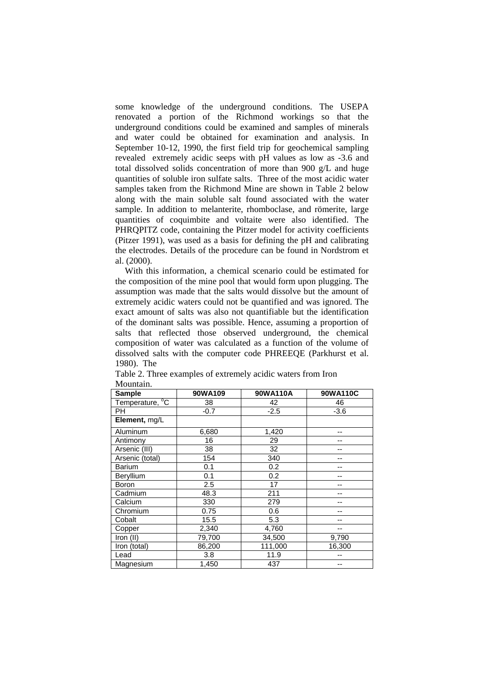some knowledge of the underground conditions. The USEPA renovated a portion of the Richmond workings so that the underground conditions could be examined and samples of minerals and water could be obtained for examination and analysis. In September 10-12, 1990, the first field trip for geochemical sampling revealed extremely acidic seeps with pH values as low as -3.6 and total dissolved solids concentration of more than 900 g/L and huge quantities of soluble iron sulfate salts. Three of the most acidic water samples taken from the Richmond Mine are shown in Table 2 below along with the main soluble salt found associated with the water sample. In addition to melanterite, rhomboclase, and römerite, large quantities of coquimbite and voltaite were also identified. The PHRQPITZ code, containing the Pitzer model for activity coefficients (Pitzer 1991), was used as a basis for defining the pH and calibrating the electrodes. Details of the procedure can be found in Nordstrom et al. (2000).

 With this information, a chemical scenario could be estimated for the composition of the mine pool that would form upon plugging. The assumption was made that the salts would dissolve but the amount of extremely acidic waters could not be quantified and was ignored. The exact amount of salts was also not quantifiable but the identification of the dominant salts was possible. Hence, assuming a proportion of salts that reflected those observed underground, the chemical composition of water was calculated as a function of the volume of dissolved salts with the computer code PHREEQE (Parkhurst et al. 1980). The

| <b>Sample</b>   | 90WA109 | 90WA110A | 90WA110C |
|-----------------|---------|----------|----------|
| Temperature, °C | 38      | 42       | 46       |
| PH.             | $-0.7$  | $-2.5$   | $-3.6$   |
| Element, mg/L   |         |          |          |
| Aluminum        | 6,680   | 1,420    |          |
| Antimony        | 16      | 29       |          |
| Arsenic (III)   | 38      | 32       |          |
| Arsenic (total) | 154     | 340      |          |
| <b>Barium</b>   | 0.1     | 0.2      |          |
| Beryllium       | 0.1     | 0.2      |          |
| Boron           | 2.5     | 17       |          |
| Cadmium         | 48.3    | 211      |          |
| Calcium         | 330     | 279      |          |
| Chromium        | 0.75    | 0.6      |          |
| Cobalt          | 15.5    | 5.3      |          |
| Copper          | 2,340   | 4,760    |          |
| Iron (II)       | 79,700  | 34,500   | 9,790    |
| Iron (total)    | 86,200  | 111,000  | 16,300   |
| Lead            | 3.8     | 11.9     |          |
| Magnesium       | 1,450   | 437      |          |

Table 2. Three examples of extremely acidic waters from Iron Mountain.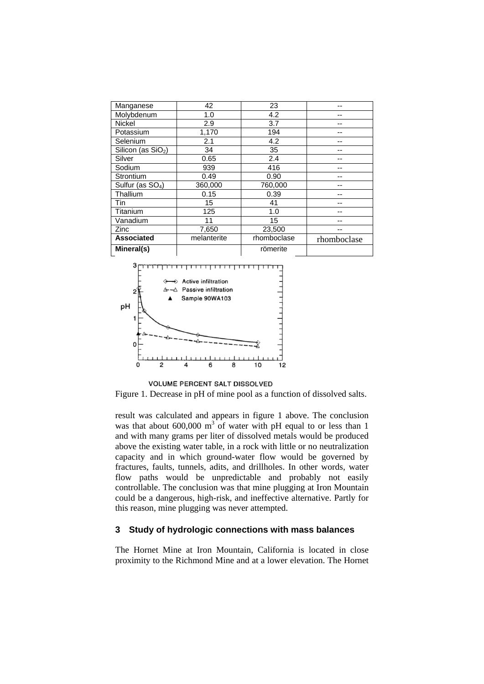| Manganese                    | 42          | 23          | --          |
|------------------------------|-------------|-------------|-------------|
| Molybdenum                   | 1.0         | 4.2         |             |
| <b>Nickel</b>                | 2.9         | 3.7         |             |
| Potassium                    | 1,170       | 194         | --          |
| Selenium                     | 2.1         | 4.2         | --          |
| Silicon (as $SiO2$ )         | 34          | 35          |             |
| Silver                       | 0.65        | 2.4         |             |
| Sodium                       | 939         | 416         |             |
| Strontium                    | 0.49        | 0.90        |             |
| Sulfur (as SO <sub>4</sub> ) | 360,000     | 760,000     |             |
| Thallium                     | 0.15        | 0.39        |             |
| Tin                          | 15          | 41          |             |
| Titanium                     | 125         | 1.0         |             |
| Vanadium                     | 11          | 15          |             |
| Zinc                         | 7,650       | 23,500      |             |
| <b>Associated</b>            | melanterite | rhomboclase | rhomboclase |
| Mineral(s)                   |             | römerite    |             |



VOLUME PERCENT SALT DISSOLVED

Figure 1. Decrease in pH of mine pool as a function of dissolved salts.

result was calculated and appears in figure 1 above. The conclusion was that about  $600,000 \text{ m}^3$  of water with pH equal to or less than 1 and with many grams per liter of dissolved metals would be produced above the existing water table, in a rock with little or no neutralization capacity and in which ground-water flow would be governed by fractures, faults, tunnels, adits, and drillholes. In other words, water flow paths would be unpredictable and probably not easily controllable. The conclusion was that mine plugging at Iron Mountain could be a dangerous, high-risk, and ineffective alternative. Partly for this reason, mine plugging was never attempted.

## **3 Study of hydrologic connections with mass balances**

The Hornet Mine at Iron Mountain, California is located in close proximity to the Richmond Mine and at a lower elevation. The Hornet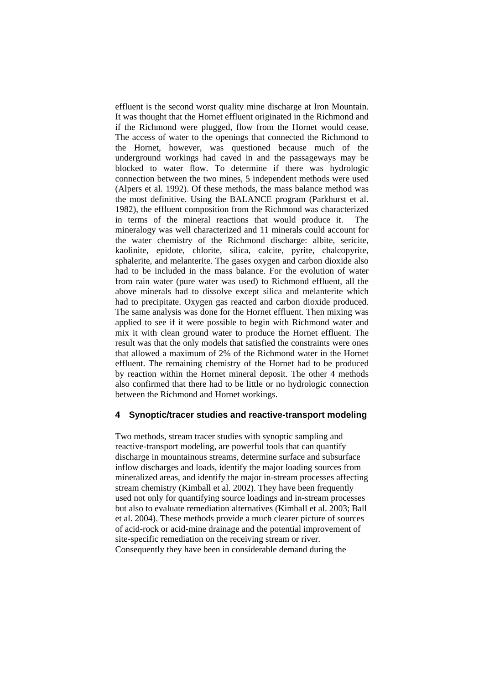effluent is the second worst quality mine discharge at Iron Mountain. It was thought that the Hornet effluent originated in the Richmond and if the Richmond were plugged, flow from the Hornet would cease. The access of water to the openings that connected the Richmond to the Hornet, however, was questioned because much of the underground workings had caved in and the passageways may be blocked to water flow. To determine if there was hydrologic connection between the two mines, 5 independent methods were used (Alpers et al. 1992). Of these methods, the mass balance method was the most definitive. Using the BALANCE program (Parkhurst et al. 1982), the effluent composition from the Richmond was characterized in terms of the mineral reactions that would produce it. The mineralogy was well characterized and 11 minerals could account for the water chemistry of the Richmond discharge: albite, sericite, kaolinite, epidote, chlorite, silica, calcite, pyrite, chalcopyrite, sphalerite, and melanterite. The gases oxygen and carbon dioxide also had to be included in the mass balance. For the evolution of water from rain water (pure water was used) to Richmond effluent, all the above minerals had to dissolve except silica and melanterite which had to precipitate. Oxygen gas reacted and carbon dioxide produced. The same analysis was done for the Hornet effluent. Then mixing was applied to see if it were possible to begin with Richmond water and mix it with clean ground water to produce the Hornet effluent. The result was that the only models that satisfied the constraints were ones that allowed a maximum of 2% of the Richmond water in the Hornet effluent. The remaining chemistry of the Hornet had to be produced by reaction within the Hornet mineral deposit. The other 4 methods also confirmed that there had to be little or no hydrologic connection between the Richmond and Hornet workings.

# **4 Synoptic/tracer studies and reactive-transport modeling**

Two methods, stream tracer studies with synoptic sampling and reactive-transport modeling, are powerful tools that can quantify discharge in mountainous streams, determine surface and subsurface inflow discharges and loads, identify the major loading sources from mineralized areas, and identify the major in-stream processes affecting stream chemistry (Kimball et al. 2002). They have been frequently used not only for quantifying source loadings and in-stream processes but also to evaluate remediation alternatives (Kimball et al. 2003; Ball et al. 2004). These methods provide a much clearer picture of sources of acid-rock or acid-mine drainage and the potential improvement of site-specific remediation on the receiving stream or river. Consequently they have been in considerable demand during the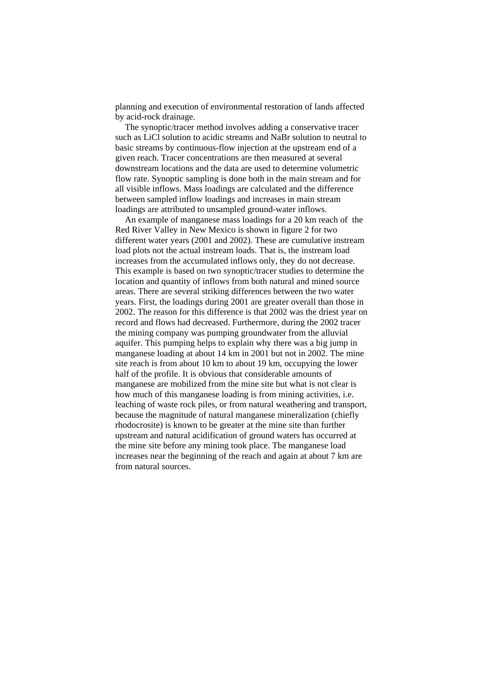planning and execution of environmental restoration of lands affected by acid-rock drainage.

 The synoptic/tracer method involves adding a conservative tracer such as LiCl solution to acidic streams and NaBr solution to neutral to basic streams by continuous-flow injection at the upstream end of a given reach. Tracer concentrations are then measured at several downstream locations and the data are used to determine volumetric flow rate. Synoptic sampling is done both in the main stream and for all visible inflows. Mass loadings are calculated and the difference between sampled inflow loadings and increases in main stream loadings are attributed to unsampled ground-water inflows.

 An example of manganese mass loadings for a 20 km reach of the Red River Valley in New Mexico is shown in figure 2 for two different water years (2001 and 2002). These are cumulative instream load plots not the actual instream loads. That is, the instream load increases from the accumulated inflows only, they do not decrease. This example is based on two synoptic/tracer studies to determine the location and quantity of inflows from both natural and mined source areas. There are several striking differences between the two water years. First, the loadings during 2001 are greater overall than those in 2002. The reason for this difference is that 2002 was the driest year on record and flows had decreased. Furthermore, during the 2002 tracer the mining company was pumping groundwater from the alluvial aquifer. This pumping helps to explain why there was a big jump in manganese loading at about 14 km in 2001 but not in 2002. The mine site reach is from about 10 km to about 19 km, occupying the lower half of the profile. It is obvious that considerable amounts of manganese are mobilized from the mine site but what is not clear is how much of this manganese loading is from mining activities, i.e. leaching of waste rock piles, or from natural weathering and transport, because the magnitude of natural manganese mineralization (chiefly rhodocrosite) is known to be greater at the mine site than further upstream and natural acidification of ground waters has occurred at the mine site before any mining took place. The manganese load increases near the beginning of the reach and again at about 7 km are from natural sources.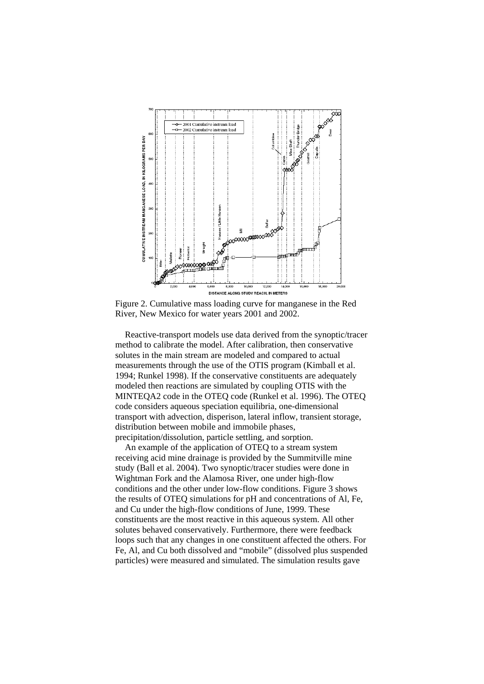

Figure 2. Cumulative mass loading curve for manganese in the Red River, New Mexico for water years 2001 and 2002.

 Reactive-transport models use data derived from the synoptic/tracer method to calibrate the model. After calibration, then conservative solutes in the main stream are modeled and compared to actual measurements through the use of the OTIS program (Kimball et al. 1994; Runkel 1998). If the conservative constituents are adequately modeled then reactions are simulated by coupling OTIS with the MINTEQA2 code in the OTEQ code (Runkel et al. 1996). The OTEQ code considers aqueous speciation equilibria, one-dimensional transport with advection, disperison, lateral inflow, transient storage, distribution between mobile and immobile phases, precipitation/dissolution, particle settling, and sorption.

 An example of the application of OTEQ to a stream system receiving acid mine drainage is provided by the Summitville mine study (Ball et al. 2004). Two synoptic/tracer studies were done in Wightman Fork and the Alamosa River, one under high-flow conditions and the other under low-flow conditions. Figure 3 shows the results of OTEQ simulations for pH and concentrations of Al, Fe, and Cu under the high-flow conditions of June, 1999. These constituents are the most reactive in this aqueous system. All other solutes behaved conservatively. Furthermore, there were feedback loops such that any changes in one constituent affected the others. For Fe, Al, and Cu both dissolved and "mobile" (dissolved plus suspended particles) were measured and simulated. The simulation results gave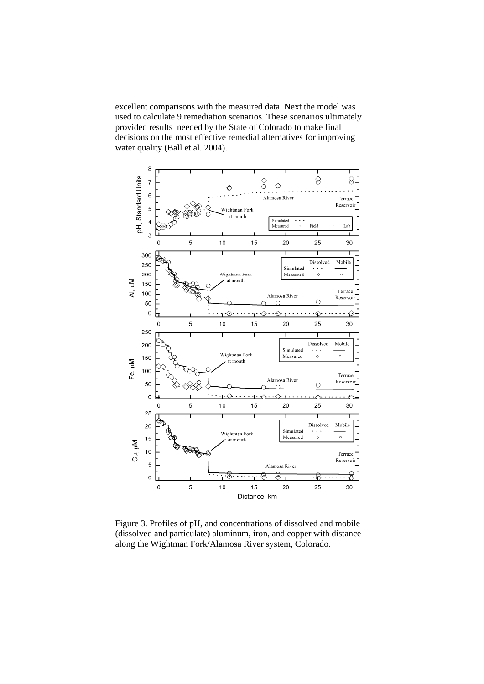excellent comparisons with the measured data. Next the model was used to calculate 9 remediation scenarios. These scenarios ultimately provided results needed by the State of Colorado to make final decisions on the most effective remedial alternatives for improving water quality (Ball et al. 2004).



Figure 3. Profiles of pH, and concentrations of dissolved and mobile (dissolved and particulate) aluminum, iron, and copper with distance along the Wightman Fork/Alamosa River system, Colorado.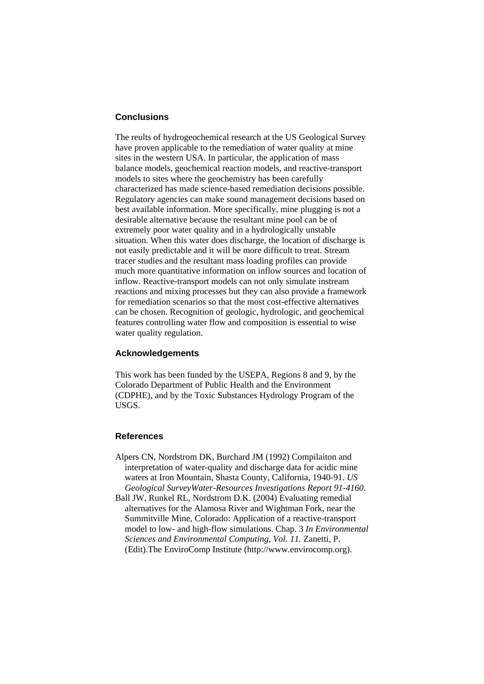# **Conclusions**

The reults of hydrogeochemical research at the US Geological Survey have proven applicable to the remediation of water quality at mine sites in the western USA. In particular, the application of mass balance models, geochemical reaction models, and reactive-transport models to sites where the geochemistry has been carefully characterized has made science-based remediation decisions possible. Regulatory agencies can make sound management decisions based on best available information. More specifically, mine plugging is not a desirable alternative because the resultant mine pool can be of extremely poor water quality and in a hydrologically unstable situation. When this water does discharge, the location of discharge is not easily predictable and it will be more difficult to treat. Stream tracer studies and the resultant mass loading profiles can provide much more quantitative information on inflow sources and location of inflow. Reactive-transport models can not only simulate instream reactions and mixing processes but they can also provide a framework for remediation scenarios so that the most cost-effective alternatives can be chosen. Recognition of geologic, hydrologic, and geochemical features controlling water flow and composition is essential to wise water quality regulation.

### **Acknowledgements**

This work has been funded by the USEPA, Regions 8 and 9, by the Colorado Department of Public Health and the Environment (CDPHE), and by the Toxic Substances Hydrology Program of the USGS.

### **References**

- Alpers CN, Nordstrom DK, Burchard JM (1992) Compilaiton and interpretation of water-quality and discharge data for acidic mine waters at Iron Mountain, Shasta County, California, 1940-91. *US Geological SurveyWater-Resources Investigations Report 91-4160.*
- Ball JW, Runkel RL, Nordstrom D.K. (2004) Evaluating remedial alternatives for the Alamosa River and Wightman Fork, near the Summitville Mine, Colorado: Application of a reactive-transport model to low- and high-flow simulations. Chap. 3 *In Environmental Sciences and Environmental Computing, Vol. 11.* Zanetti, P. (Edit).The EnviroComp Institute (http://www.envirocomp.org).